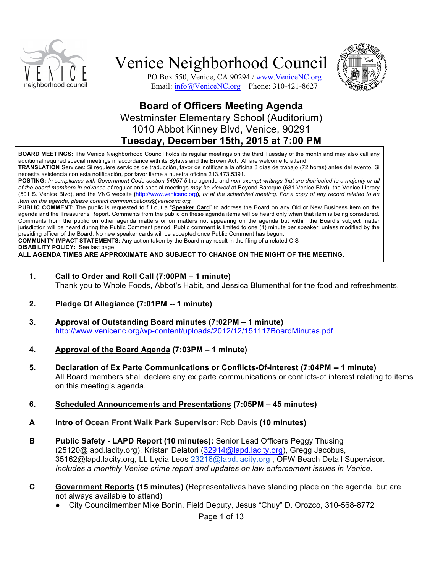



PO Box 550, Venice, CA 90294 / www.VeniceNC.org Email: info@VeniceNC.org Phone: 310-421-8627

## **Board of Officers Meeting Agenda** Westminster Elementary School (Auditorium) 1010 Abbot Kinney Blvd, Venice, 90291 **Tuesday, December 15th, 2015 at 7:00 PM**

**BOARD MEETINGS:** The Venice Neighborhood Council holds its regular meetings on the third Tuesday of the month and may also call any additional required special meetings in accordance with its Bylaws and the Brown Act. All are welcome to attend.

**TRANSLATION** Services: Si requiere servicios de traducción, favor de notificar a la oficina 3 días de trabajo (72 horas) antes del evento. Si necesita asistencia con esta notificación, por favor llame a nuestra oficina 213.473.5391.

**POSTING:** *In compliance with Government Code section 54957.5* the agenda and *non-exempt writings that are distributed to a majority or all of the board members in advance of* regular and special meetings *may be viewed* at Beyond Baroque (681 Venice Blvd), the Venice Library (501 S. Venice Blvd), and the VNC website **(**http://www.venicenc.org**),** *or at the scheduled meeting. For a copy of any record related to an item on the agenda, please contact communications@venicenc.org.*

**PUBLIC COMMENT**: The public is requested to fill out a "**Speaker Card**" to address the Board on any Old or New Business item on the agenda and the Treasurer's Report. Comments from the public on these agenda items will be heard only when that item is being considered. Comments from the public on other agenda matters or on matters not appearing on the agenda but within the Board's subject matter jurisdiction will be heard during the Public Comment period. Public comment is limited to one (1) minute per speaker, unless modified by the presiding officer of the Board. No new speaker cards will be accepted once Public Comment has begun.

**COMMUNITY IMPACT STATEMENTS:** Any action taken by the Board may result in the filing of a related CIS

**DISABILITY POLICY:** See last page.

**ALL AGENDA TIMES ARE APPROXIMATE AND SUBJECT TO CHANGE ON THE NIGHT OF THE MEETING.**

- **1. Call to Order and Roll Call (7:00PM – 1 minute)** Thank you to Whole Foods, Abbot's Habit, and Jessica Blumenthal for the food and refreshments.
- **2. Pledge Of Allegiance (7:01PM -- 1 minute)**
- **3. Approval of Outstanding Board minutes (7:02PM – 1 minute)** http://www.venicenc.org/wp-content/uploads/2012/12/151117BoardMinutes.pdf
- **4. Approval of the Board Agenda (7:03PM – 1 minute)**
- **5. Declaration of Ex Parte Communications or Conflicts-Of-Interest (7:04PM -- 1 minute)**  All Board members shall declare any ex parte communications or conflicts-of interest relating to items on this meeting's agenda.
- **6. Scheduled Announcements and Presentations (7:05PM – 45 minutes)**
- **A Intro of Ocean Front Walk Park Supervisor:** Rob Davis **(10 minutes)**
- **B Public Safety - LAPD Report (10 minutes):** Senior Lead Officers Peggy Thusing (25120@lapd.lacity.org), Kristan Delatori (32914@lapd.lacity.org), Gregg Jacobus, 35162@lapd.lacity.org, Lt. Lydia Leos 23216@lapd.lacity.org , OFW Beach Detail Supervisor. *Includes a monthly Venice crime report and updates on law enforcement issues in Venice.*
- **C Government Reports (15 minutes)** (Representatives have standing place on the agenda, but are not always available to attend)
	- City Councilmember Mike Bonin, Field Deputy, Jesus "Chuy" D. Orozco, 310-568-8772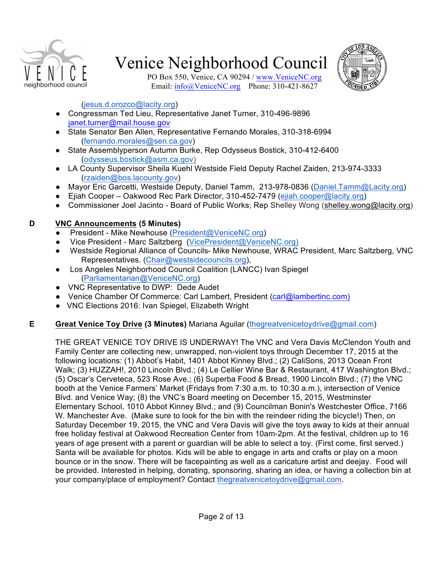



PO Box 550, Venice, CA 90294 / www.VeniceNC.org Email: info@VeniceNC.org Phone: 310-421-8627

#### (jesus.d.orozco@lacity.org)

- Congressman Ted Lieu, Representative Janet Turner, 310-496-9896 janet.turner@mail.house.gov
- State Senator Ben Allen, Representative Fernando Morales, 310-318-6994 (fernando.morales@sen.ca.gov)
- State Assemblyperson Autumn Burke, Rep Odysseus Bostick, 310-412-6400 (odysseus.bostick@asm.ca.gov)
- LA County Supervisor Sheila Kuehl Westside Field Deputy Rachel Zaiden, 213-974-3333 (rzaiden@bos.lacounty.gov)
- Mayor Eric Garcetti, Westside Deputy, Daniel Tamm, 213-978-0836 (Daniel.Tamm@Lacity.org)
- Ejiah Cooper Oakwood Rec Park Director, 310-452-7479 (ejiah.cooper@lacity.org)
- Commissioner Joel Jacinto Board of Public Works; Rep Shelley Wong (shelley.wong@lacity.org)

### **D VNC Announcements (5 Minutes)**

- President Mike Newhouse (President@VeniceNC.org)
- Vice President Marc Saltzberg (VicePresident@VeniceNC.org)
- Westside Regional Alliance of Councils- Mike Newhouse, WRAC President, Marc Saltzberg, VNC Representatives. (Chair@westsidecouncils.org),
- Los Angeles Neighborhood Council Coalition (LANCC) Ivan Spiegel (Parliamentarian@VeniceNC.org)
- VNC Representative to DWP: Dede Audet
- Venice Chamber Of Commerce: Carl Lambert, President (carl@lambertinc.com)
- VNC Elections 2016: Ivan Spiegel, Elizabeth Wright

## **E Great Venice Toy Drive (3 Minutes)** Mariana Aguilar (thegreatvenicetoydrive@gmail.com)

THE GREAT VENICE TOY DRIVE IS UNDERWAY! The VNC and Vera Davis McClendon Youth and Family Center are collecting new, unwrapped, non-violent toys through December 17, 2015 at the following locations: (1) Abbot's Habit, 1401 Abbot Kinney Blvd.; (2) CaliSons, 2013 Ocean Front Walk; (3) HUZZAH!, 2010 Lincoln Blvd.; (4) Le Cellier Wine Bar & Restaurant, 417 Washington Blvd.; (5) Oscar's Cerveteca, 523 Rose Ave.; (6) Superba Food & Bread, 1900 Lincoln Blvd.; (7) the VNC booth at the Venice Farmers' Market (Fridays from 7:30 a.m. to 10:30 a.m.), intersection of Venice Blvd. and Venice Way; (8) the VNC's Board meeting on December 15, 2015, Westminster Elementary School, 1010 Abbot Kinney Blvd.; and (9) Councilman Bonin's Westchester Office, 7166 W. Manchester Ave. (Make sure to look for the bin with the reindeer riding the bicycle!) Then, on Saturday December 19, 2015, the VNC and Vera Davis will give the toys away to kids at their annual free holiday festival at Oakwood Recreation Center from 10am-2pm. At the festival, children up to 16 years of age present with a parent or guardian will be able to select a toy. (First come, first served.) Santa will be available for photos. Kids will be able to engage in arts and crafts or play on a moon bounce or in the snow. There will be facepainting as well as a caricature artist and deejay. Food will be provided. Interested in helping, donating, sponsoring, sharing an idea, or having a collection bin at your company/place of employment? Contact thegreatvenicetoydrive@gmail.com.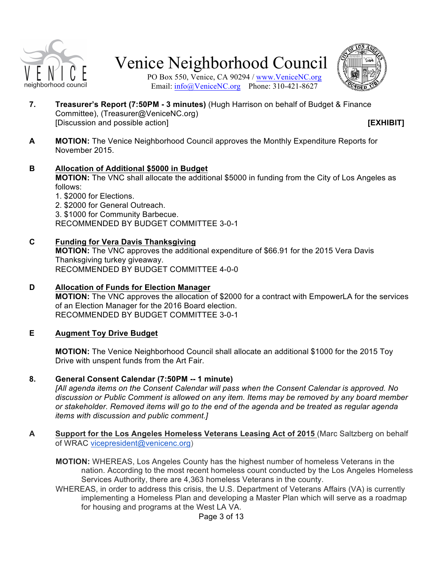



PO Box 550, Venice, CA 90294 / www.VeniceNC.org Email: info@VeniceNC.org Phone: 310-421-8627

**7. Treasurer's Report (7:50PM - 3 minutes)** (Hugh Harrison on behalf of Budget & Finance Committee), (Treasurer@VeniceNC.org) [Discussion and possible action] **[EXHIBIT]**

**A MOTION:** The Venice Neighborhood Council approves the Monthly Expenditure Reports for November 2015.

#### **B Allocation of Additional \$5000 in Budget**

**MOTION:** The VNC shall allocate the additional \$5000 in funding from the City of Los Angeles as follows:

1. \$2000 for Elections.

2. \$2000 for General Outreach.

3. \$1000 for Community Barbecue.

RECOMMENDED BY BUDGET COMMITTEE 3-0-1

#### **C Funding for Vera Davis Thanksgiving**

**MOTION:** The VNC approves the additional expenditure of \$66.91 for the 2015 Vera Davis Thanksgiving turkey giveaway. RECOMMENDED BY BUDGET COMMITTEE 4-0-0

**D Allocation of Funds for Election Manager MOTION:** The VNC approves the allocation of \$2000 for a contract with EmpowerLA for the services of an Election Manager for the 2016 Board election. RECOMMENDED BY BUDGET COMMITTEE 3-0-1

#### **E Augment Toy Drive Budget**

**MOTION:** The Venice Neighborhood Council shall allocate an additional \$1000 for the 2015 Toy Drive with unspent funds from the Art Fair.

#### **8. General Consent Calendar (7:50PM -- 1 minute)**

*[All agenda items on the Consent Calendar will pass when the Consent Calendar is approved. No discussion or Public Comment is allowed on any item. Items may be removed by any board member or stakeholder. Removed items will go to the end of the agenda and be treated as regular agenda items with discussion and public comment.]*

**A Support for the Los Angeles Homeless Veterans Leasing Act of 2015** (Marc Saltzberg on behalf of WRAC vicepresident@venicenc.org)

**MOTION:** WHEREAS, Los Angeles County has the highest number of homeless Veterans in the nation. According to the most recent homeless count conducted by the Los Angeles Homeless Services Authority, there are 4,363 homeless Veterans in the county.

WHEREAS, in order to address this crisis, the U.S. Department of Veterans Affairs (VA) is currently implementing a Homeless Plan and developing a Master Plan which will serve as a roadmap for housing and programs at the West LA VA.

Page 3 of 13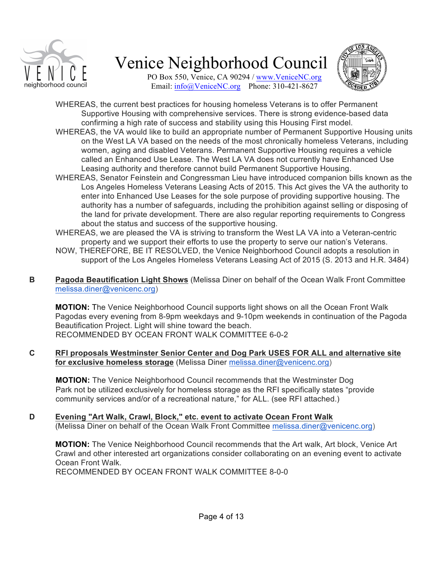

PO Box 550, Venice, CA 90294 / www.VeniceNC.org Email: info@VeniceNC.org Phone: 310-421-8627



- WHEREAS, the current best practices for housing homeless Veterans is to offer Permanent Supportive Housing with comprehensive services. There is strong evidence-based data confirming a high rate of success and stability using this Housing First model.
- WHEREAS, the VA would like to build an appropriate number of Permanent Supportive Housing units on the West LA VA based on the needs of the most chronically homeless Veterans, including women, aging and disabled Veterans. Permanent Supportive Housing requires a vehicle called an Enhanced Use Lease. The West LA VA does not currently have Enhanced Use Leasing authority and therefore cannot build Permanent Supportive Housing.
- WHEREAS, Senator Feinstein and Congressman Lieu have introduced companion bills known as the Los Angeles Homeless Veterans Leasing Acts of 2015. This Act gives the VA the authority to enter into Enhanced Use Leases for the sole purpose of providing supportive housing. The authority has a number of safeguards, including the prohibition against selling or disposing of the land for private development. There are also regular reporting requirements to Congress about the status and success of the supportive housing.
- WHEREAS, we are pleased the VA is striving to transform the West LA VA into a Veteran-centric property and we support their efforts to use the property to serve our nation's Veterans.
- NOW, THEREFORE, BE IT RESOLVED, the Venice Neighborhood Council adopts a resolution in support of the Los Angeles Homeless Veterans Leasing Act of 2015 (S. 2013 and H.R. 3484)
- **B Pagoda Beautification Light Shows** (Melissa Diner on behalf of the Ocean Walk Front Committee melissa.diner@venicenc.org)

**MOTION:** The Venice Neighborhood Council supports light shows on all the Ocean Front Walk Pagodas every evening from 8-9pm weekdays and 9-10pm weekends in continuation of the Pagoda Beautification Project. Light will shine toward the beach. RECOMMENDED BY OCEAN FRONT WALK COMMITTEE 6-0-2

**C RFI proposals Westminster Senior Center and Dog Park USES FOR ALL and alternative site for exclusive homeless storage** (Melissa Diner melissa.diner@venicenc.org)

**MOTION:** The Venice Neighborhood Council recommends that the Westminster Dog Park not be utilized exclusively for homeless storage as the RFI specifically states "provide community services and/or of a recreational nature," for ALL. (see RFI attached.)

**D Evening "Art Walk, Crawl, Block," etc. event to activate Ocean Front Walk**  (Melissa Diner on behalf of the Ocean Walk Front Committee melissa.diner@venicenc.org)

**MOTION:** The Venice Neighborhood Council recommends that the Art walk, Art block, Venice Art Crawl and other interested art organizations consider collaborating on an evening event to activate Ocean Front Walk. RECOMMENDED BY OCEAN FRONT WALK COMMITTEE 8-0-0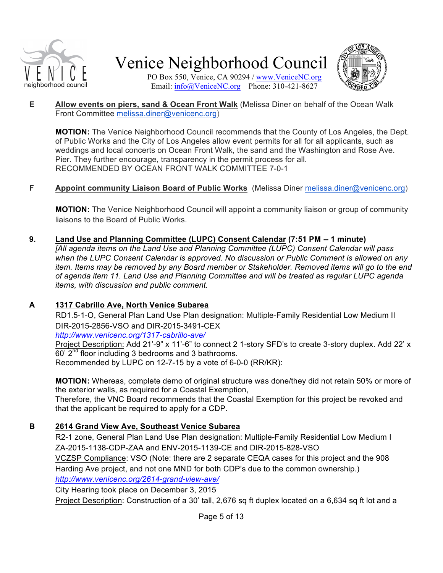



PO Box 550, Venice, CA 90294 / www.VeniceNC.org Email: info@VeniceNC.org Phone: 310-421-8627

**E Allow events on piers, sand & Ocean Front Walk** (Melissa Diner on behalf of the Ocean Walk Front Committee melissa.diner@venicenc.org)

**MOTION:** The Venice Neighborhood Council recommends that the County of Los Angeles, the Dept. of Public Works and the City of Los Angeles allow event permits for all for all applicants, such as weddings and local concerts on Ocean Front Walk, the sand and the Washington and Rose Ave. Pier. They further encourage, transparency in the permit process for all. RECOMMENDED BY OCEAN FRONT WALK COMMITTEE 7-0-1

#### **F Appoint community Liaison Board of Public Works** (Melissa Diner melissa.diner@venicenc.org)

**MOTION:** The Venice Neighborhood Council will appoint a community liaison or group of community liaisons to the Board of Public Works.

**9. Land Use and Planning Committee (LUPC) Consent Calendar (7:51 PM -- 1 minute)**

*[All agenda items on the Land Use and Planning Committee (LUPC) Consent Calendar will pass when the LUPC Consent Calendar is approved. No discussion or Public Comment is allowed on any item. Items may be removed by any Board member or Stakeholder. Removed items will go to the end of agenda item 11. Land Use and Planning Committee and will be treated as regular LUPC agenda items, with discussion and public comment.*

### **A 1317 Cabrillo Ave, North Venice Subarea**

RD1.5-1-O, General Plan Land Use Plan designation: Multiple-Family Residential Low Medium II DIR-2015-2856-VSO and DIR-2015-3491-CEX

*http://www.venicenc.org/1317-cabrillo-ave/*

Project Description: Add 21'-9" x 11'-6" to connect 2 1-story SFD's to create 3-story duplex. Add 22' x 60' 2nd floor including 3 bedrooms and 3 bathrooms. Recommended by LUPC on 12-7-15 by a vote of 6-0-0 (RR/KR):

**MOTION:** Whereas, complete demo of original structure was done/they did not retain 50% or more of the exterior walls, as required for a Coastal Exemption,

Therefore, the VNC Board recommends that the Coastal Exemption for this project be revoked and that the applicant be required to apply for a CDP.

### **B 2614 Grand View Ave, Southeast Venice Subarea**

R2-1 zone, General Plan Land Use Plan designation: Multiple-Family Residential Low Medium I ZA-2015-1138-CDP-ZAA and ENV-2015-1139-CE and DIR-2015-828-VSO VCZSP Compliance: VSO (Note: there are 2 separate CEQA cases for this project and the 908 Harding Ave project, and not one MND for both CDP's due to the common ownership.) *http://www.venicenc.org/2614-grand-view-ave/*

City Hearing took place on December 3, 2015 Project Description: Construction of a 30' tall, 2,676 sq ft duplex located on a 6,634 sq ft lot and a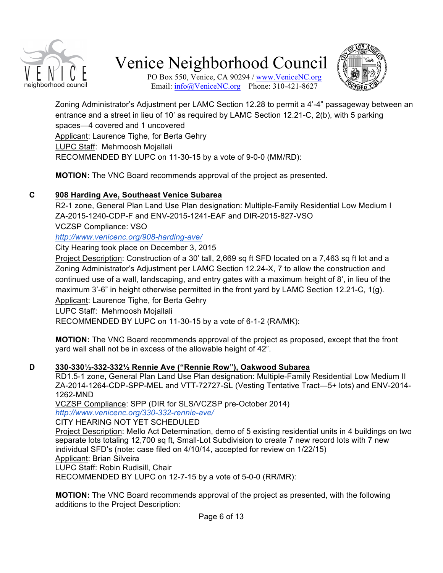

PO Box 550, Venice, CA 90294 / www.VeniceNC.org Email: info@VeniceNC.org Phone: 310-421-8627

Zoning Administrator's Adjustment per LAMC Section 12.28 to permit a 4'-4" passageway between an entrance and a street in lieu of 10' as required by LAMC Section 12.21-C, 2(b), with 5 parking spaces—4 covered and 1 uncovered Applicant: Laurence Tighe, for Berta Gehry LUPC Staff: Mehrnoosh Mojallali RECOMMENDED BY LUPC on 11-30-15 by a vote of 9-0-0 (MM/RD):

**MOTION:** The VNC Board recommends approval of the project as presented.

### **C 908 Harding Ave, Southeast Venice Subarea**

R2-1 zone, General Plan Land Use Plan designation: Multiple-Family Residential Low Medium I ZA-2015-1240-CDP-F and ENV-2015-1241-EAF and DIR-2015-827-VSO

VCZSP Compliance: VSO

*http://www.venicenc.org/908-harding-ave/*

City Hearing took place on December 3, 2015

Project Description: Construction of a 30' tall, 2,669 sq ft SFD located on a 7,463 sq ft lot and a Zoning Administrator's Adjustment per LAMC Section 12.24-X, 7 to allow the construction and continued use of a wall, landscaping, and entry gates with a maximum height of 8', in lieu of the maximum 3'-6" in height otherwise permitted in the front yard by LAMC Section 12.21-C, 1(g).

Applicant: Laurence Tighe, for Berta Gehry

LUPC Staff: Mehrnoosh Mojallali

RECOMMENDED BY LUPC on 11-30-15 by a vote of 6-1-2 (RA/MK):

**MOTION:** The VNC Board recommends approval of the project as proposed, except that the front yard wall shall not be in excess of the allowable height of 42".

#### **D 330-330½-332-332½ Rennie Ave ("Rennie Row"), Oakwood Subarea**

RD1.5-1 zone, General Plan Land Use Plan designation: Multiple-Family Residential Low Medium II ZA-2014-1264-CDP-SPP-MEL and VTT-72727-SL (Vesting Tentative Tract—5+ lots) and ENV-2014- 1262-MND

VCZSP Compliance: SPP (DIR for SLS/VCZSP pre-October 2014)

*http://www.venicenc.org/330-332-rennie-ave/*

CITY HEARING NOT YET SCHEDULED

Project Description: Mello Act Determination, demo of 5 existing residential units in 4 buildings on two separate lots totaling 12,700 sq ft, Small-Lot Subdivision to create 7 new record lots with 7 new individual SFD's (note: case filed on 4/10/14, accepted for review on 1/22/15) Applicant: Brian Silveira

LUPC Staff: Robin Rudisill, Chair

RECOMMENDED BY LUPC on 12-7-15 by a vote of 5-0-0 (RR/MR):

**MOTION:** The VNC Board recommends approval of the project as presented, with the following additions to the Project Description: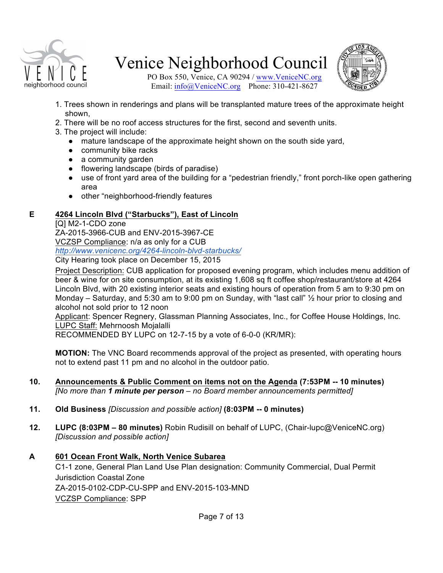



PO Box 550, Venice, CA 90294 / www.VeniceNC.org Email: info@VeniceNC.org Phone: 310-421-8627

- 1. Trees shown in renderings and plans will be transplanted mature trees of the approximate height shown,
- 2. There will be no roof access structures for the first, second and seventh units.
- 3. The project will include:
	- mature landscape of the approximate height shown on the south side yard,
	- community bike racks
	- a community garden
	- flowering landscape (birds of paradise)
	- use of front yard area of the building for a "pedestrian friendly," front porch-like open gathering area
	- other "neighborhood-friendly features

#### **E 4264 Lincoln Blvd ("Starbucks"), East of Lincoln**

[Q] M2-1-CDO zone ZA-2015-3966-CUB and ENV-2015-3967-CE VCZSP Compliance: n/a as only for a CUB *http://www.venicenc.org/4264-lincoln-blvd-starbucks/* City Hearing took place on December 15, 2015

Project Description: CUB application for proposed evening program, which includes menu addition of beer & wine for on site consumption, at its existing 1,608 sq ft coffee shop/restaurant/store at 4264 Lincoln Blvd, with 20 existing interior seats and existing hours of operation from 5 am to 9:30 pm on Monday – Saturday, and 5:30 am to 9:00 pm on Sunday, with "last call" ½ hour prior to closing and alcohol not sold prior to 12 noon

Applicant: Spencer Regnery, Glassman Planning Associates, Inc., for Coffee House Holdings, Inc. LUPC Staff: Mehrnoosh Mojalalli

RECOMMENDED BY LUPC on 12-7-15 by a vote of 6-0-0 (KR/MR):

**MOTION:** The VNC Board recommends approval of the project as presented, with operating hours not to extend past 11 pm and no alcohol in the outdoor patio.

- **10. Announcements & Public Comment on items not on the Agenda (7:53PM -- 10 minutes)** *[No more than 1 minute per person – no Board member announcements permitted]*
- **11. Old Business** *[Discussion and possible action]* **(8:03PM -- 0 minutes)**
- **12. LUPC (8:03PM – 80 minutes)** Robin Rudisill on behalf of LUPC, (Chair-lupc@VeniceNC.org) *[Discussion and possible action]*
- **A 601 Ocean Front Walk, North Venice Subarea** C1-1 zone, General Plan Land Use Plan designation: Community Commercial, Dual Permit Jurisdiction Coastal Zone ZA-2015-0102-CDP-CU-SPP and ENV-2015-103-MND VCZSP Compliance: SPP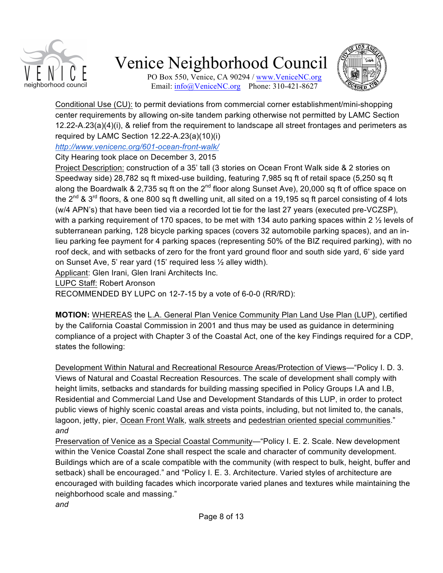

PO Box 550, Venice, CA 90294 / www.VeniceNC.org Email: info@VeniceNC.org Phone: 310-421-8627



Conditional Use (CU): to permit deviations from commercial corner establishment/mini-shopping center requirements by allowing on-site tandem parking otherwise not permitted by LAMC Section 12.22-A.23(a)(4)(i), & relief from the requirement to landscape all street frontages and perimeters as required by LAMC Section 12.22-A.23(a)(10)(i)

*http://www.venicenc.org/601-ocean-front-walk/*

City Hearing took place on December 3, 2015

Project Description: construction of a 35' tall (3 stories on Ocean Front Walk side & 2 stories on Speedway side) 28,782 sq ft mixed-use building, featuring 7,985 sq ft of retail space (5,250 sq ft along the Boardwalk & 2,735 sq ft on the 2<sup>nd</sup> floor along Sunset Ave), 20,000 sq ft of office space on the 2<sup>nd</sup> & 3<sup>rd</sup> floors, & one 800 sq ft dwelling unit, all sited on a 19,195 sq ft parcel consisting of 4 lots (w/4 APN's) that have been tied via a recorded lot tie for the last 27 years (executed pre-VCZSP), with a parking requirement of 170 spaces, to be met with 134 auto parking spaces within 2  $\frac{1}{2}$  levels of subterranean parking, 128 bicycle parking spaces (covers 32 automobile parking spaces), and an inlieu parking fee payment for 4 parking spaces (representing 50% of the BIZ required parking), with no roof deck, and with setbacks of zero for the front yard ground floor and south side yard, 6' side yard on Sunset Ave, 5' rear yard (15' required less ½ alley width).

Applicant: Glen Irani, Glen Irani Architects Inc.

LUPC Staff: Robert Aronson

RECOMMENDED BY LUPC on 12-7-15 by a vote of 6-0-0 (RR/RD):

**MOTION:** WHEREAS the L.A. General Plan Venice Community Plan Land Use Plan (LUP), certified by the California Coastal Commission in 2001 and thus may be used as guidance in determining compliance of a project with Chapter 3 of the Coastal Act, one of the key Findings required for a CDP, states the following:

Development Within Natural and Recreational Resource Areas/Protection of Views—"Policy I. D. 3. Views of Natural and Coastal Recreation Resources. The scale of development shall comply with height limits, setbacks and standards for building massing specified in Policy Groups I.A and I.B, Residential and Commercial Land Use and Development Standards of this LUP, in order to protect public views of highly scenic coastal areas and vista points, including, but not limited to, the canals, lagoon, jetty, pier, Ocean Front Walk, walk streets and pedestrian oriented special communities." *and*

Preservation of Venice as a Special Coastal Community—"Policy I. E. 2. Scale. New development within the Venice Coastal Zone shall respect the scale and character of community development. Buildings which are of a scale compatible with the community (with respect to bulk, height, buffer and setback) shall be encouraged." and "Policy I. E. 3. Architecture. Varied styles of architecture are encouraged with building facades which incorporate varied planes and textures while maintaining the neighborhood scale and massing."

*and*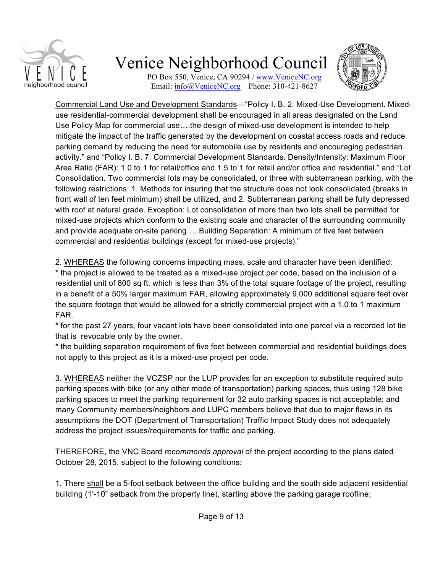

PO Box 550, Venice, CA 90294 / www.VeniceNC.org Email: info@VeniceNC.org Phone: 310-421-8627



Commercial Land Use and Development Standards—"Policy I. B. 2. Mixed-Use Development. Mixeduse residential-commercial development shall be encouraged in all areas designated on the Land Use Policy Map for commercial use….the design of mixed-use development is intended to help mitigate the impact of the traffic generated by the development on coastal access roads and reduce parking demand by reducing the need for automobile use by residents and encouraging pedestrian activity." and "Policy I. B. 7. Commercial Development Standards. Density/Intensity: Maximum Floor Area Ratio (FAR): 1.0 to 1 for retail/office and 1.5 to 1 for retail and/or office and residential." and "Lot Consolidation. Two commercial lots may be consolidated, or three with subterranean parking, with the following restrictions: 1. Methods for insuring that the structure does not look consolidated (breaks in front wall of ten feet minimum) shall be utilized, and 2. Subterranean parking shall be fully depressed with roof at natural grade. Exception: Lot consolidation of more than two lots shall be permitted for mixed-use projects which conform to the existing scale and character of the surrounding community and provide adequate on-site parking…..Building Separation: A minimum of five feet between commercial and residential buildings (except for mixed-use projects)."

2. WHEREAS the following concerns impacting mass, scale and character have been identified: \* the project is allowed to be treated as a mixed-use project per code, based on the inclusion of a residential unit of 800 sq ft, which is less than 3% of the total square footage of the project, resulting in a benefit of a 50% larger maximum FAR, allowing approximately 9,000 additional square feet over the square footage that would be allowed for a strictly commercial project with a 1.0 to 1 maximum FAR.

\* for the past 27 years, four vacant lots have been consolidated into one parcel via a recorded lot tie that is revocable only by the owner.

\* the building separation requirement of five feet between commercial and residential buildings does not apply to this project as it is a mixed-use project per code.

3. WHEREAS neither the VCZSP nor the LUP provides for an exception to substitute required auto parking spaces with bike (or any other mode of transportation) parking spaces, thus using 128 bike parking spaces to meet the parking requirement for 32 auto parking spaces is not acceptable; and many Community members/neighbors and LUPC members believe that due to major flaws in its assumptions the DOT (Department of Transportation) Traffic Impact Study does not adequately address the project issues/requirements for traffic and parking.

THEREFORE, the VNC Board *recommends approval* of the project according to the plans dated October 28, 2015, subject to the following conditions:

1. There shall be a 5-foot setback between the office building and the south side adjacent residential building (1'-10" setback from the property line), starting above the parking garage roofline;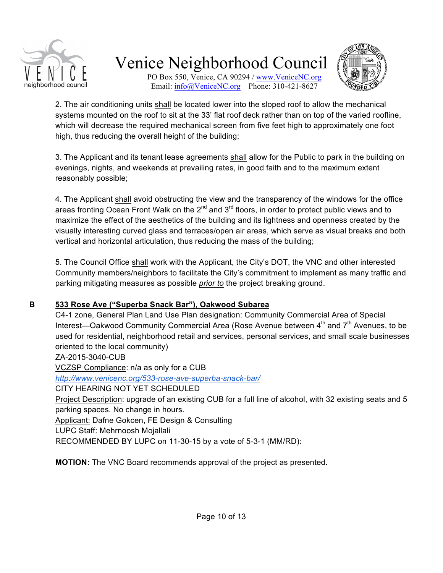

PO Box 550, Venice, CA 90294 / www.VeniceNC.org Email: info@VeniceNC.org Phone: 310-421-8627



2. The air conditioning units shall be located lower into the sloped roof to allow the mechanical systems mounted on the roof to sit at the 33' flat roof deck rather than on top of the varied roofline, which will decrease the required mechanical screen from five feet high to approximately one foot high, thus reducing the overall height of the building;

3. The Applicant and its tenant lease agreements shall allow for the Public to park in the building on evenings, nights, and weekends at prevailing rates, in good faith and to the maximum extent reasonably possible;

4. The Applicant shall avoid obstructing the view and the transparency of the windows for the office areas fronting Ocean Front Walk on the  $2^{nd}$  and  $3^{rd}$  floors, in order to protect public views and to maximize the effect of the aesthetics of the building and its lightness and openness created by the visually interesting curved glass and terraces/open air areas, which serve as visual breaks and both vertical and horizontal articulation, thus reducing the mass of the building;

5. The Council Office shall work with the Applicant, the City's DOT, the VNC and other interested Community members/neighbors to facilitate the City's commitment to implement as many traffic and parking mitigating measures as possible *prior to* the project breaking ground.

### **B 533 Rose Ave ("Superba Snack Bar"), Oakwood Subarea**

C4-1 zone, General Plan Land Use Plan designation: Community Commercial Area of Special Interest—Oakwood Community Commercial Area (Rose Avenue between  $4<sup>th</sup>$  and  $7<sup>th</sup>$  Avenues, to be used for residential, neighborhood retail and services, personal services, and small scale businesses oriented to the local community) ZA-2015-3040-CUB

VCZSP Compliance: n/a as only for a CUB

*http://www.venicenc.org/533-rose-ave-superba-snack-bar/*

CITY HEARING NOT YET SCHEDULED

Project Description: upgrade of an existing CUB for a full line of alcohol, with 32 existing seats and 5 parking spaces. No change in hours.

Applicant: Dafne Gokcen, FE Design & Consulting

LUPC Staff: Mehrnoosh Mojallali

RECOMMENDED BY LUPC on 11-30-15 by a vote of 5-3-1 (MM/RD):

**MOTION:** The VNC Board recommends approval of the project as presented.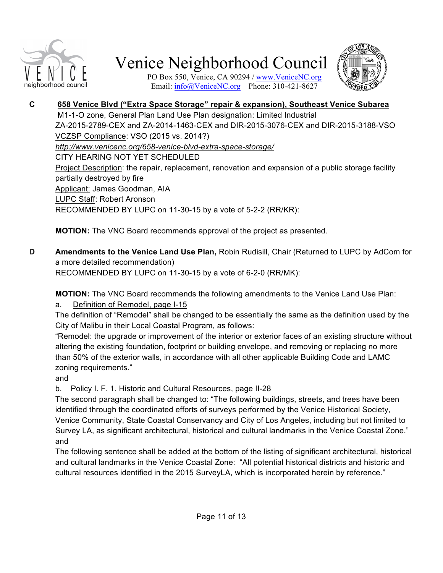



PO Box 550, Venice, CA 90294 / www.VeniceNC.org Email: info@VeniceNC.org Phone: 310-421-8627

#### **C 658 Venice Blvd ("Extra Space Storage" repair & expansion), Southeast Venice Subarea** M1-1-O zone, General Plan Land Use Plan designation: Limited Industrial ZA-2015-2789-CEX and ZA-2014-1463-CEX and DIR-2015-3076-CEX and DIR-2015-3188-VSO VCZSP Compliance: VSO (2015 vs. 2014?) *http://www.venicenc.org/658-venice-blvd-extra-space-storage/* CITY HEARING NOT YET SCHEDULED Project Description: the repair, replacement, renovation and expansion of a public storage facility partially destroyed by fire Applicant: James Goodman, AIA LUPC Staff: Robert Aronson RECOMMENDED BY LUPC on 11-30-15 by a vote of 5-2-2 (RR/KR):

**MOTION:** The VNC Board recommends approval of the project as presented.

**D Amendments to the Venice Land Use Plan,** Robin Rudisill, Chair (Returned to LUPC by AdCom for a more detailed recommendation) RECOMMENDED BY LUPC on 11-30-15 by a vote of 6-2-0 (RR/MK):

**MOTION:** The VNC Board recommends the following amendments to the Venice Land Use Plan:

a. Definition of Remodel, page I-15

The definition of "Remodel" shall be changed to be essentially the same as the definition used by the City of Malibu in their Local Coastal Program, as follows:

"Remodel: the upgrade or improvement of the interior or exterior faces of an existing structure without altering the existing foundation, footprint or building envelope, and removing or replacing no more than 50% of the exterior walls, in accordance with all other applicable Building Code and LAMC zoning requirements."

and

b. Policy I. F. 1. Historic and Cultural Resources, page II-28

The second paragraph shall be changed to: "The following buildings, streets, and trees have been identified through the coordinated efforts of surveys performed by the Venice Historical Society, Venice Community, State Coastal Conservancy and City of Los Angeles, including but not limited to Survey LA, as significant architectural, historical and cultural landmarks in the Venice Coastal Zone." and

The following sentence shall be added at the bottom of the listing of significant architectural, historical and cultural landmarks in the Venice Coastal Zone: "All potential historical districts and historic and cultural resources identified in the 2015 SurveyLA, which is incorporated herein by reference."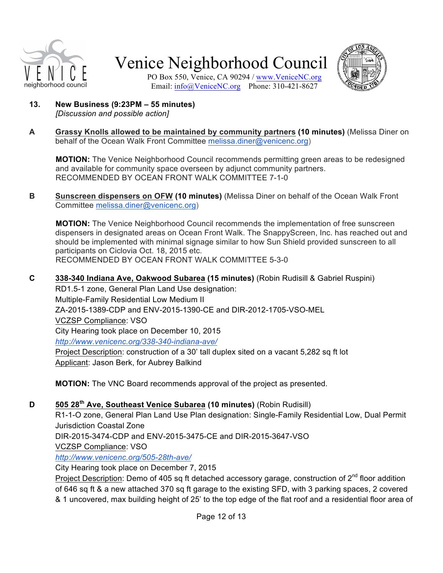



PO Box 550, Venice, CA 90294 / www.VeniceNC.org Email: info@VeniceNC.org Phone: 310-421-8627

- **13. New Business (9:23PM – 55 minutes)** *[Discussion and possible action]*
- **A Grassy Knolls allowed to be maintained by community partners (10 minutes)** (Melissa Diner on behalf of the Ocean Walk Front Committee melissa.diner@venicenc.org)

**MOTION:** The Venice Neighborhood Council recommends permitting green areas to be redesigned and available for community space overseen by adjunct community partners. RECOMMENDED BY OCEAN FRONT WALK COMMITTEE 7-1-0

**B Sunscreen dispensers on OFW (10 minutes)** (Melissa Diner on behalf of the Ocean Walk Front Committee melissa.diner@venicenc.org)

**MOTION:** The Venice Neighborhood Council recommends the implementation of free sunscreen dispensers in designated areas on Ocean Front Walk. The SnappyScreen, Inc. has reached out and should be implemented with minimal signage similar to how Sun Shield provided sunscreen to all participants on Ciclovia Oct. 18, 2015 etc. RECOMMENDED BY OCEAN FRONT WALK COMMITTEE 5-3-0

**C 338-340 Indiana Ave, Oakwood Subarea (15 minutes)** (Robin Rudisill & Gabriel Ruspini) RD1.5-1 zone, General Plan Land Use designation: Multiple-Family Residential Low Medium II ZA-2015-1389-CDP and ENV-2015-1390-CE and DIR-2012-1705-VSO-MEL VCZSP Compliance: VSO City Hearing took place on December 10, 2015 *http://www.venicenc.org/338-340-indiana-ave/* Project Description: construction of a 30' tall duplex sited on a vacant 5,282 sq ft lot Applicant: Jason Berk, for Aubrey Balkind

**MOTION:** The VNC Board recommends approval of the project as presented.

## **D 505 28th Ave, Southeast Venice Subarea (10 minutes)** (Robin Rudisill)

R1-1-O zone, General Plan Land Use Plan designation: Single-Family Residential Low, Dual Permit Jurisdiction Coastal Zone

DIR-2015-3474-CDP and ENV-2015-3475-CE and DIR-2015-3647-VSO

VCZSP Compliance: VSO

*http://www.venicenc.org/505-28th-ave/*

City Hearing took place on December 7, 2015

Project Description: Demo of 405 sq ft detached accessory garage, construction of 2<sup>nd</sup> floor addition of 646 sq ft & a new attached 370 sq ft garage to the existing SFD, with 3 parking spaces, 2 covered & 1 uncovered, max building height of 25' to the top edge of the flat roof and a residential floor area of